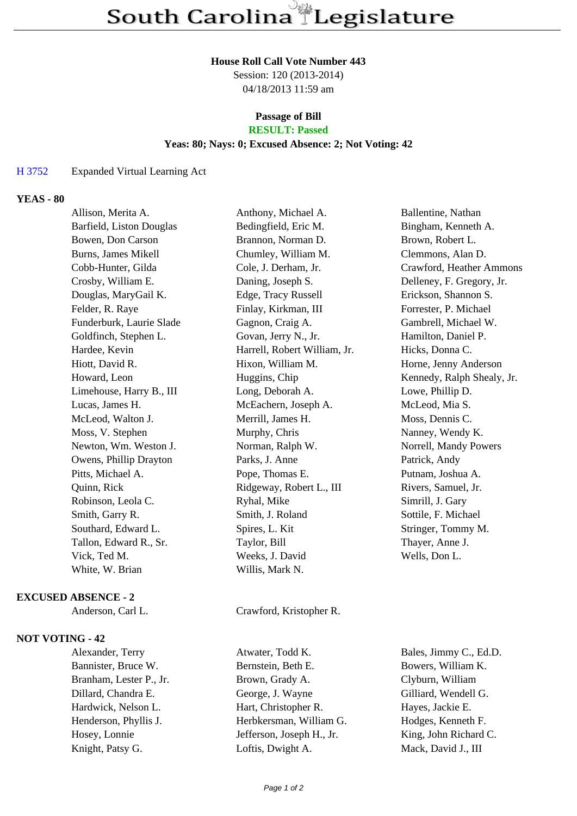#### **House Roll Call Vote Number 443**

Session: 120 (2013-2014) 04/18/2013 11:59 am

# **Passage of Bill**

## **RESULT: Passed**

### **Yeas: 80; Nays: 0; Excused Absence: 2; Not Voting: 42**

#### H 3752 Expanded Virtual Learning Act

#### **YEAS - 80**

| Allison, Merita A.       | Anthony, Michael A.          | Ballentine, Nathan         |
|--------------------------|------------------------------|----------------------------|
| Barfield, Liston Douglas | Bedingfield, Eric M.         | Bingham, Kenneth A.        |
| Bowen, Don Carson        | Brannon, Norman D.           | Brown, Robert L.           |
| Burns, James Mikell      | Chumley, William M.          | Clemmons, Alan D.          |
| Cobb-Hunter, Gilda       | Cole, J. Derham, Jr.         | Crawford, Heather Ammons   |
| Crosby, William E.       | Daning, Joseph S.            | Delleney, F. Gregory, Jr.  |
| Douglas, MaryGail K.     | Edge, Tracy Russell          | Erickson, Shannon S.       |
| Felder, R. Raye          | Finlay, Kirkman, III         | Forrester, P. Michael      |
| Funderburk, Laurie Slade | Gagnon, Craig A.             | Gambrell, Michael W.       |
| Goldfinch, Stephen L.    | Govan, Jerry N., Jr.         | Hamilton, Daniel P.        |
| Hardee, Kevin            | Harrell, Robert William, Jr. | Hicks, Donna C.            |
| Hiott, David R.          | Hixon, William M.            | Horne, Jenny Anderson      |
| Howard, Leon             | Huggins, Chip                | Kennedy, Ralph Shealy, Jr. |
| Limehouse, Harry B., III | Long, Deborah A.             | Lowe, Phillip D.           |
| Lucas, James H.          | McEachern, Joseph A.         | McLeod, Mia S.             |
| McLeod, Walton J.        | Merrill, James H.            | Moss, Dennis C.            |
| Moss, V. Stephen         | Murphy, Chris                | Nanney, Wendy K.           |
| Newton, Wm. Weston J.    | Norman, Ralph W.             | Norrell, Mandy Powers      |
| Owens, Phillip Drayton   | Parks, J. Anne               | Patrick, Andy              |
| Pitts, Michael A.        | Pope, Thomas E.              | Putnam, Joshua A.          |
| Quinn, Rick              | Ridgeway, Robert L., III     | Rivers, Samuel, Jr.        |
| Robinson, Leola C.       | Ryhal, Mike                  | Simrill, J. Gary           |
| Smith, Garry R.          | Smith, J. Roland             | Sottile, F. Michael        |
| Southard, Edward L.      | Spires, L. Kit               | Stringer, Tommy M.         |
| Tallon, Edward R., Sr.   | Taylor, Bill                 | Thayer, Anne J.            |
| Vick, Ted M.             | Weeks, J. David              | Wells, Don L.              |
| White, W. Brian          | Willis, Mark N.              |                            |
|                          |                              |                            |

#### **EXCUSED ABSENCE - 2**

Anderson, Carl L. Crawford, Kristopher R.

#### **NOT VOTING - 42**

Bannister, Bruce W. Bernstein, Beth E. Bowers, William K. Branham, Lester P., Jr. Brown, Grady A. Clyburn, William Dillard, Chandra E. George, J. Wayne Gilliard, Wendell G. Hardwick, Nelson L. Hart, Christopher R. Hayes, Jackie E. Henderson, Phyllis J. Herbkersman, William G. Hodges, Kenneth F. Hosey, Lonnie Jefferson, Joseph H., Jr. King, John Richard C. Knight, Patsy G. Loftis, Dwight A. Mack, David J., III

Alexander, Terry Atwater, Todd K. Bales, Jimmy C., Ed.D.